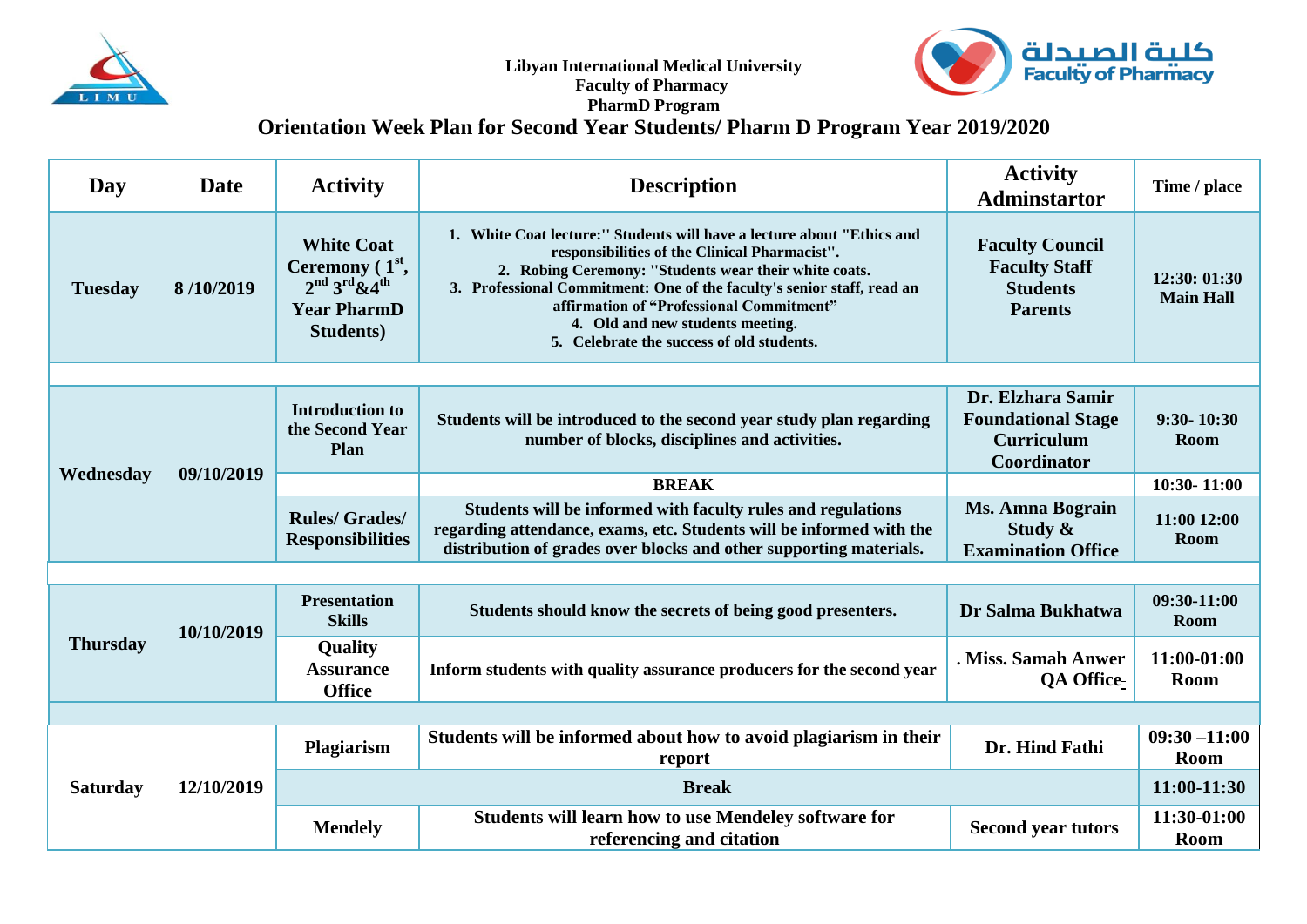

**Libyan International Medical University Faculty of Pharmacy** 



## **PharmD Program**

## **Orientation Week Plan for Second Year Students/ Pharm D Program Year 2019/2020**

| Day             | <b>Date</b> | <b>Activity</b>                                                                                     | <b>Description</b>                                                                                                                                                                                                                                                                                                                                                                      | <b>Activity</b><br><b>Adminstartor</b>                                              | Time / place                     |  |  |
|-----------------|-------------|-----------------------------------------------------------------------------------------------------|-----------------------------------------------------------------------------------------------------------------------------------------------------------------------------------------------------------------------------------------------------------------------------------------------------------------------------------------------------------------------------------------|-------------------------------------------------------------------------------------|----------------------------------|--|--|
| <b>Tuesday</b>  | 8/10/2019   | <b>White Coat</b><br>Ceremony $(1st,$<br>$2nd 3rd 8.4th$<br><b>Year PharmD</b><br><b>Students</b> ) | 1. White Coat lecture:" Students will have a lecture about "Ethics and<br>responsibilities of the Clinical Pharmacist".<br>2. Robing Ceremony: "Students wear their white coats.<br>3. Professional Commitment: One of the faculty's senior staff, read an<br>affirmation of "Professional Commitment"<br>4. Old and new students meeting.<br>5. Celebrate the success of old students. | <b>Faculty Council</b><br><b>Faculty Staff</b><br><b>Students</b><br><b>Parents</b> | 12:30: 01:30<br><b>Main Hall</b> |  |  |
|                 |             |                                                                                                     |                                                                                                                                                                                                                                                                                                                                                                                         |                                                                                     |                                  |  |  |
| Wednesday       | 09/10/2019  | <b>Introduction to</b><br>the Second Year<br>Plan                                                   | Students will be introduced to the second year study plan regarding<br>number of blocks, disciplines and activities.                                                                                                                                                                                                                                                                    | Dr. Elzhara Samir<br><b>Foundational Stage</b><br><b>Curriculum</b><br>Coordinator  | $9:30 - 10:30$<br><b>Room</b>    |  |  |
|                 |             |                                                                                                     | <b>BREAK</b>                                                                                                                                                                                                                                                                                                                                                                            |                                                                                     | 10:30-11:00                      |  |  |
|                 |             | <b>Rules/Grades/</b><br><b>Responsibilities</b>                                                     | Students will be informed with faculty rules and regulations<br>regarding attendance, exams, etc. Students will be informed with the<br>distribution of grades over blocks and other supporting materials.                                                                                                                                                                              | <b>Ms. Amna Bograin</b><br>Study $\&$<br><b>Examination Office</b>                  | 11:00 12:00<br><b>Room</b>       |  |  |
|                 |             |                                                                                                     |                                                                                                                                                                                                                                                                                                                                                                                         |                                                                                     |                                  |  |  |
| <b>Thursday</b> | 10/10/2019  | <b>Presentation</b><br><b>Skills</b>                                                                | Students should know the secrets of being good presenters.                                                                                                                                                                                                                                                                                                                              | Dr Salma Bukhatwa                                                                   | 09:30-11:00<br><b>Room</b>       |  |  |
|                 |             | <b>Quality</b><br><b>Assurance</b><br><b>Office</b>                                                 | Inform students with quality assurance producers for the second year                                                                                                                                                                                                                                                                                                                    | . Miss. Samah Anwer<br><b>QA Office</b>                                             | 11:00-01:00<br><b>Room</b>       |  |  |
|                 |             |                                                                                                     |                                                                                                                                                                                                                                                                                                                                                                                         |                                                                                     |                                  |  |  |
| <b>Saturday</b> | 12/10/2019  | Plagiarism                                                                                          | Students will be informed about how to avoid plagiarism in their<br>report                                                                                                                                                                                                                                                                                                              | Dr. Hind Fathi                                                                      | $09:30 - 11:00$<br>Room          |  |  |
|                 |             | <b>Break</b>                                                                                        |                                                                                                                                                                                                                                                                                                                                                                                         |                                                                                     | 11:00-11:30                      |  |  |
|                 |             | <b>Mendely</b>                                                                                      | <b>Students will learn how to use Mendeley software for</b><br>referencing and citation                                                                                                                                                                                                                                                                                                 | <b>Second year tutors</b>                                                           | 11:30-01:00<br><b>Room</b>       |  |  |